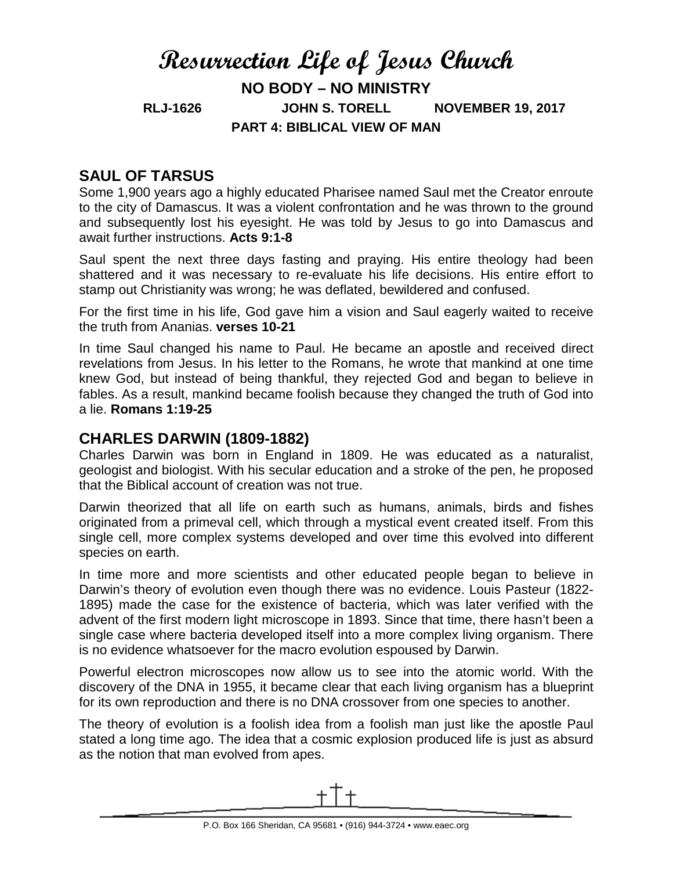# **Resurrection Life of Jesus Church NO BODY – NO MINISTRY RLJ-1626 JOHN S. TORELL NOVEMBER 19, 2017 PART 4: BIBLICAL VIEW OF MAN**

# **SAUL OF TARSUS**

Some 1,900 years ago a highly educated Pharisee named Saul met the Creator enroute to the city of Damascus. It was a violent confrontation and he was thrown to the ground and subsequently lost his eyesight. He was told by Jesus to go into Damascus and await further instructions. **Acts 9:1-8**

Saul spent the next three days fasting and praying. His entire theology had been shattered and it was necessary to re-evaluate his life decisions. His entire effort to stamp out Christianity was wrong; he was deflated, bewildered and confused.

For the first time in his life, God gave him a vision and Saul eagerly waited to receive the truth from Ananias. **verses 10-21**

In time Saul changed his name to Paul. He became an apostle and received direct revelations from Jesus. In his letter to the Romans, he wrote that mankind at one time knew God, but instead of being thankful, they rejected God and began to believe in fables. As a result, mankind became foolish because they changed the truth of God into a lie. **Romans 1:19-25**

# **CHARLES DARWIN (1809-1882)**

Charles Darwin was born in England in 1809. He was educated as a naturalist, geologist and biologist. With his secular education and a stroke of the pen, he proposed that the Biblical account of creation was not true.

Darwin theorized that all life on earth such as humans, animals, birds and fishes originated from a primeval cell, which through a mystical event created itself. From this single cell, more complex systems developed and over time this evolved into different species on earth.

In time more and more scientists and other educated people began to believe in Darwin's theory of evolution even though there was no evidence. Louis Pasteur (1822- 1895) made the case for the existence of bacteria, which was later verified with the advent of the first modern light microscope in 1893. Since that time, there hasn't been a single case where bacteria developed itself into a more complex living organism. There is no evidence whatsoever for the macro evolution espoused by Darwin.

Powerful electron microscopes now allow us to see into the atomic world. With the discovery of the DNA in 1955, it became clear that each living organism has a blueprint for its own reproduction and there is no DNA crossover from one species to another.

The theory of evolution is a foolish idea from a foolish man just like the apostle Paul stated a long time ago. The idea that a cosmic explosion produced life is just as absurd as the notion that man evolved from apes.

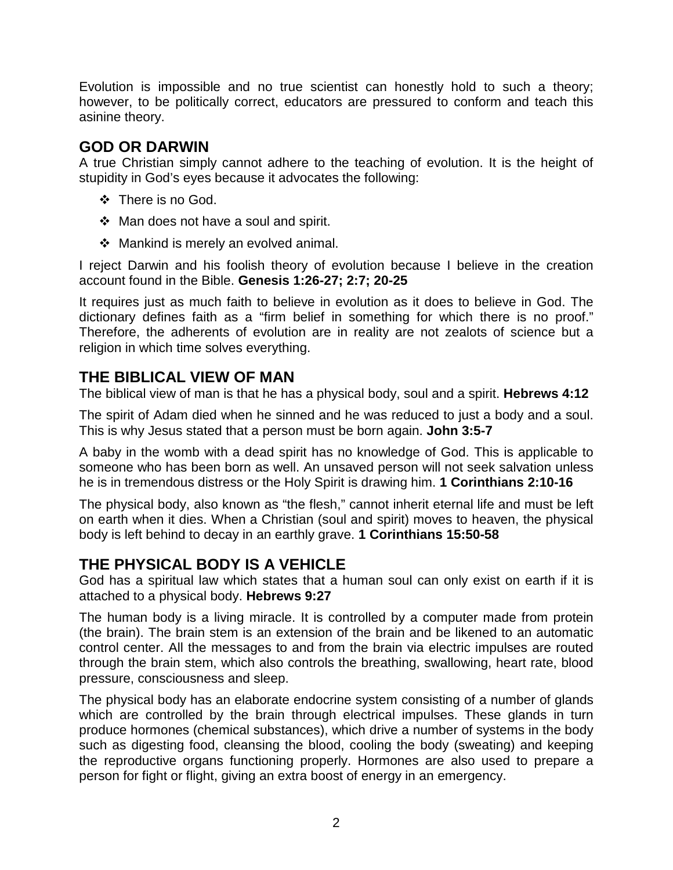Evolution is impossible and no true scientist can honestly hold to such a theory; however, to be politically correct, educators are pressured to conform and teach this asinine theory.

# **GOD OR DARWIN**

A true Christian simply cannot adhere to the teaching of evolution. It is the height of stupidity in God's eyes because it advocates the following:

- ❖ There is no God.
- $\div$  Man does not have a soul and spirit.
- $\div$  Mankind is merely an evolved animal.

I reject Darwin and his foolish theory of evolution because I believe in the creation account found in the Bible. **Genesis 1:26-27; 2:7; 20-25**

It requires just as much faith to believe in evolution as it does to believe in God. The dictionary defines faith as a "firm belief in something for which there is no proof." Therefore, the adherents of evolution are in reality are not zealots of science but a religion in which time solves everything.

### **THE BIBLICAL VIEW OF MAN**

The biblical view of man is that he has a physical body, soul and a spirit. **Hebrews 4:12**

The spirit of Adam died when he sinned and he was reduced to just a body and a soul. This is why Jesus stated that a person must be born again. **John 3:5-7**

A baby in the womb with a dead spirit has no knowledge of God. This is applicable to someone who has been born as well. An unsaved person will not seek salvation unless he is in tremendous distress or the Holy Spirit is drawing him. **1 Corinthians 2:10-16**

The physical body, also known as "the flesh," cannot inherit eternal life and must be left on earth when it dies. When a Christian (soul and spirit) moves to heaven, the physical body is left behind to decay in an earthly grave. **1 Corinthians 15:50-58**

# **THE PHYSICAL BODY IS A VEHICLE**

God has a spiritual law which states that a human soul can only exist on earth if it is attached to a physical body. **Hebrews 9:27**

The human body is a living miracle. It is controlled by a computer made from protein (the brain). The brain stem is an extension of the brain and be likened to an automatic control center. All the messages to and from the brain via electric impulses are routed through the brain stem, which also controls the breathing, swallowing, heart rate, blood pressure, consciousness and sleep.

The physical body has an elaborate endocrine system consisting of a number of glands which are controlled by the brain through electrical impulses. These glands in turn produce hormones (chemical substances), which drive a number of systems in the body such as digesting food, cleansing the blood, cooling the body (sweating) and keeping the reproductive organs functioning properly. Hormones are also used to prepare a person for fight or flight, giving an extra boost of energy in an emergency.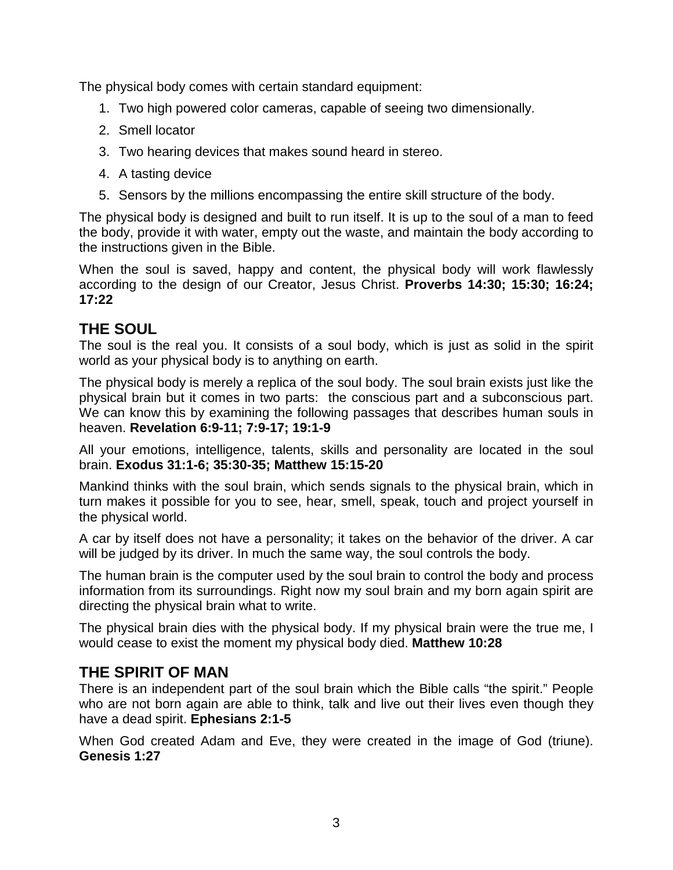The physical body comes with certain standard equipment:

- 1. Two high powered color cameras, capable of seeing two dimensionally.
- 2. Smell locator
- 3. Two hearing devices that makes sound heard in stereo.
- 4. A tasting device
- 5. Sensors by the millions encompassing the entire skill structure of the body.

The physical body is designed and built to run itself. It is up to the soul of a man to feed the body, provide it with water, empty out the waste, and maintain the body according to the instructions given in the Bible.

When the soul is saved, happy and content, the physical body will work flawlessly according to the design of our Creator, Jesus Christ. **Proverbs 14:30; 15:30; 16:24; 17:22**

### **THE SOUL**

The soul is the real you. It consists of a soul body, which is just as solid in the spirit world as your physical body is to anything on earth.

The physical body is merely a replica of the soul body. The soul brain exists just like the physical brain but it comes in two parts: the conscious part and a subconscious part. We can know this by examining the following passages that describes human souls in heaven. **Revelation 6:9-11; 7:9-17; 19:1-9**

All your emotions, intelligence, talents, skills and personality are located in the soul brain. **Exodus 31:1-6; 35:30-35; Matthew 15:15-20**

Mankind thinks with the soul brain, which sends signals to the physical brain, which in turn makes it possible for you to see, hear, smell, speak, touch and project yourself in the physical world.

A car by itself does not have a personality; it takes on the behavior of the driver. A car will be judged by its driver. In much the same way, the soul controls the body.

The human brain is the computer used by the soul brain to control the body and process information from its surroundings. Right now my soul brain and my born again spirit are directing the physical brain what to write.

The physical brain dies with the physical body. If my physical brain were the true me, I would cease to exist the moment my physical body died. **Matthew 10:28**

# **THE SPIRIT OF MAN**

There is an independent part of the soul brain which the Bible calls "the spirit." People who are not born again are able to think, talk and live out their lives even though they have a dead spirit. **Ephesians 2:1-5**

When God created Adam and Eve, they were created in the image of God (triune). **Genesis 1:27**